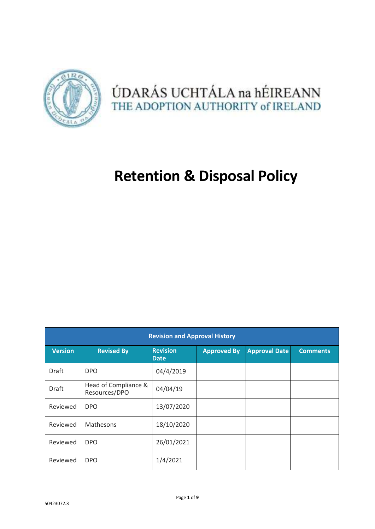

## ÚDARÁS UCHTÁLA na hÉIREANN THE ADOPTION AUTHORITY of IRELAND

# **Retention & Disposal Policy**

| <b>Revision and Approval History</b> |                                       |                                |                    |                      |                 |  |  |  |
|--------------------------------------|---------------------------------------|--------------------------------|--------------------|----------------------|-----------------|--|--|--|
| <b>Version</b>                       | <b>Revised By</b>                     | <b>Revision</b><br><b>Date</b> | <b>Approved By</b> | <b>Approval Date</b> | <b>Comments</b> |  |  |  |
| Draft                                | <b>DPO</b>                            | 04/4/2019                      |                    |                      |                 |  |  |  |
| Draft                                | Head of Compliance &<br>Resources/DPO | 04/04/19                       |                    |                      |                 |  |  |  |
| Reviewed                             | <b>DPO</b>                            | 13/07/2020                     |                    |                      |                 |  |  |  |
| Reviewed                             | Mathesons                             | 18/10/2020                     |                    |                      |                 |  |  |  |
| Reviewed                             | <b>DPO</b>                            | 26/01/2021                     |                    |                      |                 |  |  |  |
| Reviewed                             | <b>DPO</b>                            | 1/4/2021                       |                    |                      |                 |  |  |  |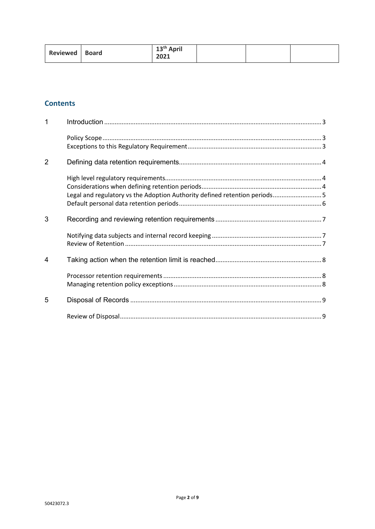| 13 <sup>th</sup> April<br>Reviewed   Board<br>202 <sub>1</sub> |  |
|----------------------------------------------------------------|--|
|----------------------------------------------------------------|--|

## **Contents**

| $\mathbf{1}$   |                                                                            |  |
|----------------|----------------------------------------------------------------------------|--|
|                |                                                                            |  |
| $\overline{2}$ |                                                                            |  |
|                | Legal and regulatory vs the Adoption Authority defined retention periods 5 |  |
| 3              |                                                                            |  |
|                |                                                                            |  |
| 4              |                                                                            |  |
|                |                                                                            |  |
| 5              |                                                                            |  |
|                |                                                                            |  |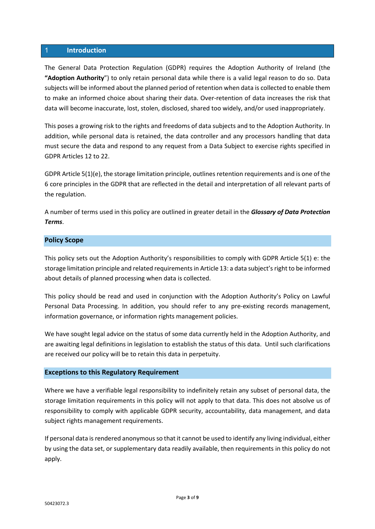#### 1 **Introduction**

The General Data Protection Regulation (GDPR) requires the Adoption Authority of Ireland (the **"Adoption Authority**") to only retain personal data while there is a valid legal reason to do so. Data subjects will be informed about the planned period of retention when data is collected to enable them to make an informed choice about sharing their data. Over-retention of data increases the risk that data will become inaccurate, lost, stolen, disclosed, shared too widely, and/or used inappropriately.

This poses a growing risk to the rights and freedoms of data subjects and to the Adoption Authority. In addition, while personal data is retained, the data controller and any processors handling that data must secure the data and respond to any request from a Data Subject to exercise rights specified in GDPR Articles 12 to 22.

GDPR Article 5(1)(e), the storage limitation principle, outlines retention requirements and is one of the 6 core principles in the GDPR that are reflected in the detail and interpretation of all relevant parts of the regulation.

A number of terms used in this policy are outlined in greater detail in the *Glossary of Data Protection Terms*.

## **Policy Scope**

This policy sets out the Adoption Authority's responsibilities to comply with GDPR Article 5(1) e: the storage limitation principle and related requirements in Article 13: a data subject's right to be informed about details of planned processing when data is collected.

This policy should be read and used in conjunction with the Adoption Authority's Policy on Lawful Personal Data Processing. In addition, you should refer to any pre-existing records management, information governance, or information rights management policies.

We have sought legal advice on the status of some data currently held in the Adoption Authority, and are awaiting legal definitions in legislation to establish the status of this data. Until such clarifications are received our policy will be to retain this data in perpetuity.

## **Exceptions to this Regulatory Requirement**

Where we have a verifiable legal responsibility to indefinitely retain any subset of personal data, the storage limitation requirements in this policy will not apply to that data. This does not absolve us of responsibility to comply with applicable GDPR security, accountability, data management, and data subject rights management requirements.

If personal data is rendered anonymous so that it cannot be used to identify any living individual, either by using the data set, or supplementary data readily available, then requirements in this policy do not apply.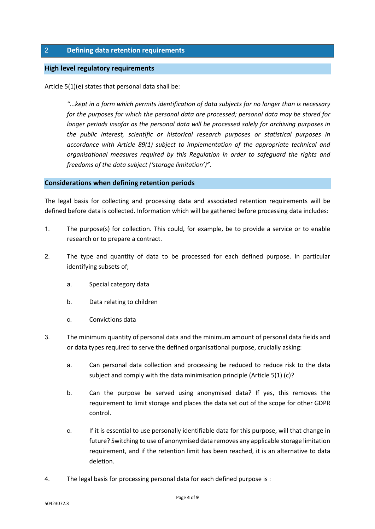## 2 **Defining data retention requirements**

## **High level regulatory requirements**

Article 5(1)(e) states that personal data shall be:

*"...kept in a form which permits identification of data subjects for no longer than is necessary for the purposes for which the personal data are processed; personal data may be stored for longer periods insofar as the personal data will be processed solely for archiving purposes in the public interest, scientific or historical research purposes or statistical purposes in accordance with Article 89(1) subject to implementation of the appropriate technical and organisational measures required by this Regulation in order to safeguard the rights and freedoms of the data subject ('storage limitation')".* 

#### **Considerations when defining retention periods**

The legal basis for collecting and processing data and associated retention requirements will be defined before data is collected. Information which will be gathered before processing data includes:

- 1. The purpose(s) for collection. This could, for example, be to provide a service or to enable research or to prepare a contract.
- 2. The type and quantity of data to be processed for each defined purpose. In particular identifying subsets of;
	- a. Special category data
	- b. Data relating to children
	- c. Convictions data
- 3. The minimum quantity of personal data and the minimum amount of personal data fields and or data types required to serve the defined organisational purpose, crucially asking:
	- a. Can personal data collection and processing be reduced to reduce risk to the data subject and comply with the data minimisation principle (Article 5(1) (c)?
	- b. Can the purpose be served using anonymised data? If yes, this removes the requirement to limit storage and places the data set out of the scope for other GDPR control.
	- c. If it is essential to use personally identifiable data for this purpose, will that change in future? Switching to use of anonymised data removes any applicable storage limitation requirement, and if the retention limit has been reached, it is an alternative to data deletion.
- 4. The legal basis for processing personal data for each defined purpose is :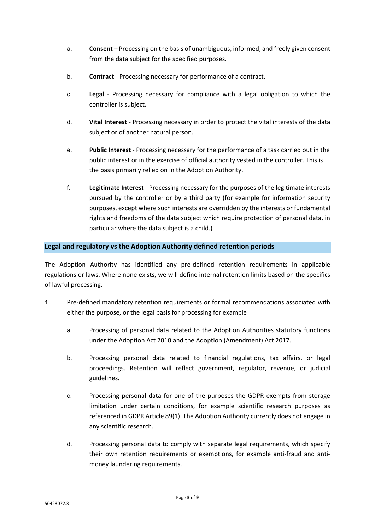- a. **Consent** Processing on the basis of unambiguous, informed, and freely given consent from the data subject for the specified purposes.
- b. **Contract** Processing necessary for performance of a contract.
- c. **Legal** Processing necessary for compliance with a legal obligation to which the controller is subject.
- d. **Vital Interest** Processing necessary in order to protect the vital interests of the data subject or of another natural person.
- e. **Public Interest** Processing necessary for the performance of a task carried out in the public interest or in the exercise of official authority vested in the controller. This is the basis primarily relied on in the Adoption Authority.
- f. **Legitimate Interest** Processing necessary for the purposes of the legitimate interests pursued by the controller or by a third party (for example for information security purposes, except where such interests are overridden by the interests or fundamental rights and freedoms of the data subject which require protection of personal data, in particular where the data subject is a child.)

## **Legal and regulatory vs the Adoption Authority defined retention periods**

The Adoption Authority has identified any pre-defined retention requirements in applicable regulations or laws. Where none exists, we will define internal retention limits based on the specifics of lawful processing.

- 1. Pre-defined mandatory retention requirements or formal recommendations associated with either the purpose, or the legal basis for processing for example
	- a. Processing of personal data related to the Adoption Authorities statutory functions under the Adoption Act 2010 and the Adoption (Amendment) Act 2017.
	- b. Processing personal data related to financial regulations, tax affairs, or legal proceedings. Retention will reflect government, regulator, revenue, or judicial guidelines.
	- c. Processing personal data for one of the purposes the GDPR exempts from storage limitation under certain conditions, for example scientific research purposes as referenced in GDPR Article 89(1). The Adoption Authority currently does not engage in any scientific research.
	- d. Processing personal data to comply with separate legal requirements, which specify their own retention requirements or exemptions, for example anti-fraud and antimoney laundering requirements.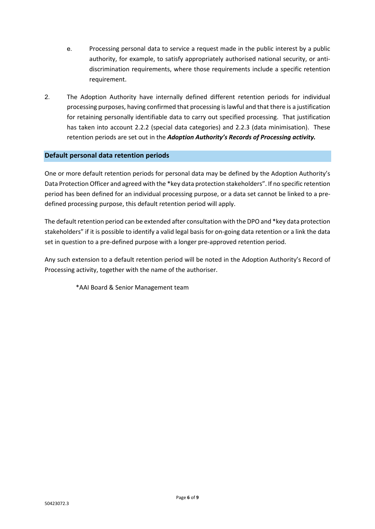- e. Processing personal data to service a request made in the public interest by a public authority, for example, to satisfy appropriately authorised national security, or antidiscrimination requirements, where those requirements include a specific retention requirement.
- 2. The Adoption Authority have internally defined different retention periods for individual processing purposes, having confirmed that processing is lawful and that there is a justification for retaining personally identifiable data to carry out specified processing. That justification has taken into account 2.2.2 (special data categories) and 2.2.3 (data minimisation). These retention periods are set out in the *Adoption Authority's Records of Processing activity.*

## **Default personal data retention periods**

One or more default retention periods for personal data may be defined by the Adoption Authority's Data Protection Officer and agreed with the \*key data protection stakeholders". If no specific retention period has been defined for an individual processing purpose, or a data set cannot be linked to a predefined processing purpose, this default retention period will apply.

The default retention period can be extended after consultation with the DPO and \*key data protection stakeholders" if it is possible to identify a valid legal basis for on-going data retention or a link the data set in question to a pre-defined purpose with a longer pre-approved retention period.

Any such extension to a default retention period will be noted in the Adoption Authority's Record of Processing activity, together with the name of the authoriser.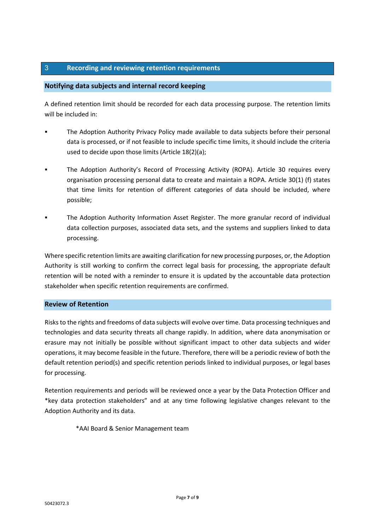## 3 **Recording and reviewing retention requirements**

## **Notifying data subjects and internal record keeping**

A defined retention limit should be recorded for each data processing purpose. The retention limits will be included in:

- The Adoption Authority Privacy Policy made available to data subjects before their personal data is processed, or if not feasible to include specific time limits, it should include the criteria used to decide upon those limits (Article 18(2)(a);
- The Adoption Authority's Record of Processing Activity (ROPA). Article 30 requires every organisation processing personal data to create and maintain a ROPA. Article 30(1) (f) states that time limits for retention of different categories of data should be included, where possible;
- The Adoption Authority Information Asset Register. The more granular record of individual data collection purposes, associated data sets, and the systems and suppliers linked to data processing.

Where specific retention limits are awaiting clarification for new processing purposes, or, the Adoption Authority is still working to confirm the correct legal basis for processing, the appropriate default retention will be noted with a reminder to ensure it is updated by the accountable data protection stakeholder when specific retention requirements are confirmed.

#### **Review of Retention**

Risks to the rights and freedoms of data subjects will evolve over time. Data processing techniques and technologies and data security threats all change rapidly. In addition, where data anonymisation or erasure may not initially be possible without significant impact to other data subjects and wider operations, it may become feasible in the future. Therefore, there will be a periodic review of both the default retention period(s) and specific retention periods linked to individual purposes, or legal bases for processing.

Retention requirements and periods will be reviewed once a year by the Data Protection Officer and \*key data protection stakeholders" and at any time following legislative changes relevant to the Adoption Authority and its data.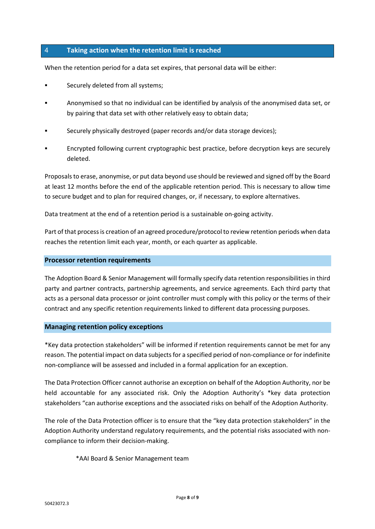## 4 **Taking action when the retention limit is reached**

When the retention period for a data set expires, that personal data will be either:

- **Example 3 Securely deleted from all systems;**
- Anonymised so that no individual can be identified by analysis of the anonymised data set, or by pairing that data set with other relatively easy to obtain data;
- Securely physically destroyed (paper records and/or data storage devices);
- Encrypted following current cryptographic best practice, before decryption keys are securely deleted.

Proposals to erase, anonymise, or put data beyond use should be reviewed and signed off by the Board at least 12 months before the end of the applicable retention period. This is necessary to allow time to secure budget and to plan for required changes, or, if necessary, to explore alternatives.

Data treatment at the end of a retention period is a sustainable on-going activity.

Part of that process is creation of an agreed procedure/protocol to review retention periods when data reaches the retention limit each year, month, or each quarter as applicable.

#### **Processor retention requirements**

The Adoption Board & Senior Management will formally specify data retention responsibilities in third party and partner contracts, partnership agreements, and service agreements. Each third party that acts as a personal data processor or joint controller must comply with this policy or the terms of their contract and any specific retention requirements linked to different data processing purposes.

#### **Managing retention policy exceptions**

\*Key data protection stakeholders" will be informed if retention requirements cannot be met for any reason. The potential impact on data subjects for a specified period of non-compliance or for indefinite non-compliance will be assessed and included in a formal application for an exception.

The Data Protection Officer cannot authorise an exception on behalf of the Adoption Authority, nor be held accountable for any associated risk. Only the Adoption Authority's \*key data protection stakeholders "can authorise exceptions and the associated risks on behalf of the Adoption Authority.

The role of the Data Protection officer is to ensure that the "key data protection stakeholders" in the Adoption Authority understand regulatory requirements, and the potential risks associated with noncompliance to inform their decision-making.